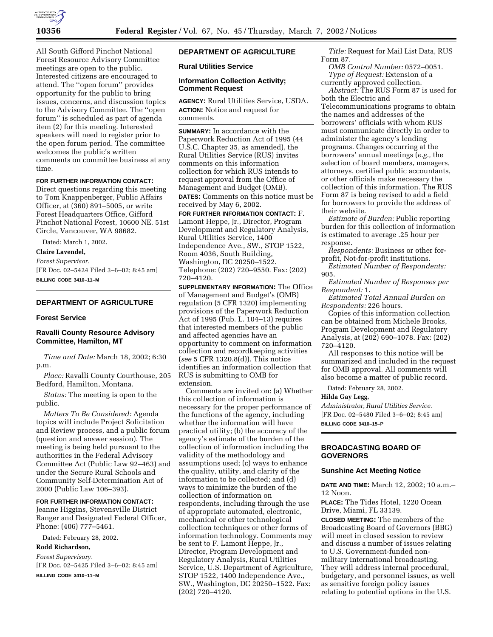

All South Gifford Pinchot National Forest Resource Advisory Committee meetings are open to the public. Interested citizens are encouraged to attend. The ''open forum'' provides opportunity for the public to bring issues, concerns, and discussion topics to the Advisory Committee. The ''open forum'' is scheduled as part of agenda item (2) for this meeting. Interested speakers will need to register prior to the open forum period. The committee welcomes the public's written comments on committee business at any time.

# **FOR FURTHER INFORMATION CONTACT:**

Direct questions regarding this meeting to Tom Knappenberger, Public Affairs Officer, at (360) 891–5005, or write Forest Headquarters Office, Gifford Pinchot National Forest, 10600 NE. 51st Circle, Vancouver, WA 98682.

Dated: March 1, 2002.

**Claire Lavendel,**

*Forest Supervisor.* [FR Doc. 02–5424 Filed 3–6–02; 8:45 am] **BILLING CODE 3410–11–M**

# **DEPARTMENT OF AGRICULTURE**

#### **Forest Service**

# **Ravalli County Resource Advisory Committee, Hamilton, MT**

*Time and Date:* March 18, 2002; 6:30 p.m.

*Place:* Ravalli County Courthouse, 205 Bedford, Hamilton, Montana.

*Status:* The meeting is open to the public.

*Matters To Be Considered:* Agenda topics will include Project Solicitation and Review process, and a public forum (question and answer session). The meeting is being held pursuant to the authorities in the Federal Advisory Committee Act (Public Law 92–463) and under the Secure Rural Schools and Community Self-Determination Act of 2000 (Public Law 106–393).

#### **FOR FURTHER INFORMATION CONTACT:**

Jeanne Higgins, Stevensville District Ranger and Designated Federal Officer, Phone: (406) 777–5461.

Dated: February 28, 2002.

# **Rodd Richardson,**

*Forest Supervisory.* [FR Doc. 02–5425 Filed 3–6–02; 8:45 am]

**BILLING CODE 3410–11–M**

# **DEPARTMENT OF AGRICULTURE**

# **Rural Utilities Service**

#### **Information Collection Activity; Comment Request**

**AGENCY:** Rural Utilities Service, USDA. **ACTION:** Notice and request for comments.

**SUMMARY:** In accordance with the Paperwork Reduction Act of 1995 (44 U.S.C. Chapter 35, as amended), the Rural Utilities Service (RUS) invites comments on this information collection for which RUS intends to request approval from the Office of Management and Budget (OMB).

**DATES:** Comments on this notice must be received by May 6, 2002.

**FOR FURTHER INFORMATION CONTACT:** F. Lamont Heppe, Jr., Director, Program Development and Regulatory Analysis, Rural Utilities Service, 1400 Independence Ave., SW., STOP 1522, Room 4036, South Building, Washington, DC 20250–1522. Telephone: (202) 720–9550. Fax: (202) 720–4120.

**SUPPLEMENTARY INFORMATION:** The Office of Management and Budget's (OMB) regulation (5 CFR 1320) implementing provisions of the Paperwork Reduction Act of 1995 (Pub. L. 104–13) requires that interested members of the public and affected agencies have an opportunity to comment on information collection and recordkeeping activities (*see* 5 CFR 1320.8(d)). This notice identifies an information collection that RUS is submitting to OMB for extension.

Comments are invited on: (a) Whether this collection of information is necessary for the proper performance of the functions of the agency, including whether the information will have practical utility; (b) the accuracy of the agency's estimate of the burden of the collection of information including the validity of the methodology and assumptions used; (c) ways to enhance the quality, utility, and clarity of the information to be collected; and (d) ways to minimize the burden of the collection of information on respondents, including through the use of appropriate automated, electronic, mechanical or other technological collection techniques or other forms of information technology. Comments may be sent to F. Lamont Heppe, Jr., Director, Program Development and Regulatory Analysis, Rural Utilities Service, U.S. Department of Agriculture, STOP 1522, 1400 Independence Ave., SW., Washington, DC 20250–1522. Fax: (202) 720–4120.

*Title:* Request for Mail List Data, RUS Form 87.

*OMB Control Number:* 0572–0051. *Type of Request:* Extension of a currently approved collection.

*Abstract:* The RUS Form 87 is used for both the Electric and

Telecommunications programs to obtain the names and addresses of the borrowers' officials with whom RUS must communicate directly in order to administer the agency's lending programs. Changes occurring at the borrowers' annual meetings (*e.g.,* the selection of board members, managers, attorneys, certified public accountants, or other officials make necessary the collection of this information. The RUS Form 87 is being revised to add a field for borrowers to provide the address of their website.

*Estimate of Burden:* Public reporting burden for this collection of information is estimated to average .25 hour per response.

*Respondents:* Business or other forprofit, Not-for-profit institutions.

*Estimated Number of Respondents:* 905.

*Estimated Number of Responses per Respondent:* 1.

*Estimated Total Annual Burden on Respondents:* 226 hours.

Copies of this information collection can be obtained from Michele Brooks, Program Development and Regulatory Analysis, at (202) 690–1078. Fax: (202) 720–4120.

All responses to this notice will be summarized and included in the request for OMB approval. All comments will also become a matter of public record.

Dated: February 28, 2002.

# **Hilda Gay Legg,**

*Administrator, Rural Utilities Service.* [FR Doc. 02–5480 Filed 3–6–02; 8:45 am] **BILLING CODE 3410–15–P**

## **BROADCASTING BOARD OF GOVERNORS**

#### **Sunshine Act Meeting Notice**

**DATE AND TIME:** March 12, 2002; 10 a.m.– 12 Noon.

**PLACE:** The Tides Hotel, 1220 Ocean Drive, Miami, FL 33139.

**CLOSED MEETING:** The members of the Broadcasting Board of Governors (BBG) will meet in closed session to review and discuss a number of issues relating to U.S. Government-funded nonmilitary international broadcasting. They will address internal procedural, budgetary, and personnel issues, as well as sensitive foreign policy issues relating to potential options in the U.S.